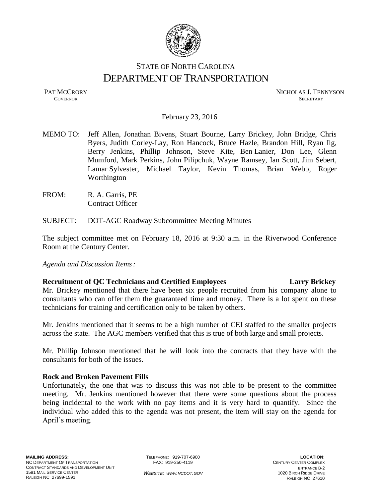

# STATE OF NORTH CAROLINA DEPARTMENT OF TRANSPORTATION

PAT MCCRORY NICHOLAS J. TENNYSON **GOVERNOR SECRETARY** SECRETARY

February 23, 2016

- MEMO TO: Jeff Allen, Jonathan Bivens, Stuart Bourne, Larry Brickey, John Bridge, Chris Byers, Judith Corley-Lay, Ron Hancock, Bruce Hazle, Brandon Hill, Ryan Ilg, Berry Jenkins, Phillip Johnson, Steve Kite, Ben Lanier, Don Lee, Glenn Mumford, Mark Perkins, John Pilipchuk, Wayne Ramsey, Ian Scott, Jim Sebert, Lamar Sylvester, Michael Taylor, Kevin Thomas, Brian Webb, Roger Worthington
- FROM: R. A. Garris, PE Contract Officer
- SUBJECT: DOT-AGC Roadway Subcommittee Meeting Minutes

The subject committee met on February 18, 2016 at 9:30 a.m. in the Riverwood Conference Room at the Century Center.

*Agenda and Discussion Items:*

# **Recruitment of QC Technicians and Certified Employees Larry Brickey**

Mr. Brickey mentioned that there have been six people recruited from his company alone to consultants who can offer them the guaranteed time and money. There is a lot spent on these technicians for training and certification only to be taken by others.

Mr. Jenkins mentioned that it seems to be a high number of CEI staffed to the smaller projects across the state. The AGC members verified that this is true of both large and small projects.

Mr. Phillip Johnson mentioned that he will look into the contracts that they have with the consultants for both of the issues.

# **Rock and Broken Pavement Fills**

Unfortunately, the one that was to discuss this was not able to be present to the committee meeting. Mr. Jenkins mentioned however that there were some questions about the process being incidental to the work with no pay items and it is very hard to quantify. Since the individual who added this to the agenda was not present, the item will stay on the agenda for April's meeting.

TELEPHONE: 919-707-6900 FAX: 919-250-4119

**LOCATION:** CENTURY CENTER COMPLEX ENTRANCE B-2 1020 BIRCH RIDGE DRIVE RALEIGH NC 27610

*WEBSITE: WWW.NCDOT.GOV*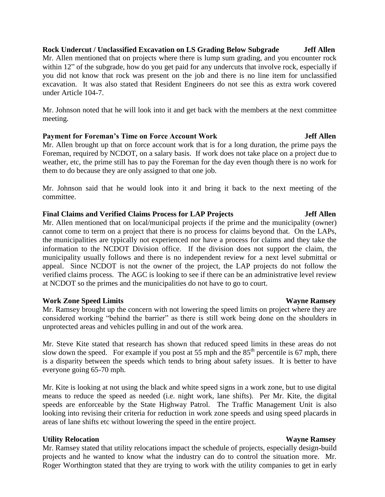### **Rock Undercut / Unclassified Excavation on LS Grading Below Subgrade Jeff Allen**

Mr. Allen mentioned that on projects where there is lump sum grading, and you encounter rock within 12" of the subgrade, how do you get paid for any undercuts that involve rock, especially if you did not know that rock was present on the job and there is no line item for unclassified excavation. It was also stated that Resident Engineers do not see this as extra work covered under Article 104-7.

Mr. Johnson noted that he will look into it and get back with the members at the next committee meeting.

### **Payment for Foreman's Time on Force Account Work Jeff Allen**

Mr. Allen brought up that on force account work that is for a long duration, the prime pays the Foreman, required by NCDOT, on a salary basis. If work does not take place on a project due to weather, etc, the prime still has to pay the Foreman for the day even though there is no work for them to do because they are only assigned to that one job.

Mr. Johnson said that he would look into it and bring it back to the next meeting of the committee.

### **Final Claims and Verified Claims Process for LAP Projects Jeff Allen**

Mr. Allen mentioned that on local/municipal projects if the prime and the municipality (owner) cannot come to term on a project that there is no process for claims beyond that. On the LAPs, the municipalities are typically not experienced nor have a process for claims and they take the information to the NCDOT Division office. If the division does not support the claim, the municipality usually follows and there is no independent review for a next level submittal or appeal. Since NCDOT is not the owner of the project, the LAP projects do not follow the verified claims process. The AGC is looking to see if there can be an administrative level review at NCDOT so the primes and the municipalities do not have to go to court.

# **Work Zone Speed Limits Wayne Ramsey School Speed Limits And Algebra 2012 19:30 Wayne Ramsey**

Mr. Ramsey brought up the concern with not lowering the speed limits on project where they are considered working "behind the barrier" as there is still work being done on the shoulders in unprotected areas and vehicles pulling in and out of the work area.

Mr. Steve Kite stated that research has shown that reduced speed limits in these areas do not slow down the speed. For example if you post at 55 mph and the  $85<sup>th</sup>$  percentile is 67 mph, there is a disparity between the speeds which tends to bring about safety issues. It is better to have everyone going 65-70 mph.

Mr. Kite is looking at not using the black and white speed signs in a work zone, but to use digital means to reduce the speed as needed (i.e. night work, lane shifts). Per Mr. Kite, the digital speeds are enforceable by the State Highway Patrol. The Traffic Management Unit is also looking into revising their criteria for reduction in work zone speeds and using speed placards in areas of lane shifts etc without lowering the speed in the entire project.

# **Utility Relocation Wayne Ramsey**

Mr. Ramsey stated that utility relocations impact the schedule of projects, especially design-build projects and he wanted to know what the industry can do to control the situation more. Mr. Roger Worthington stated that they are trying to work with the utility companies to get in early